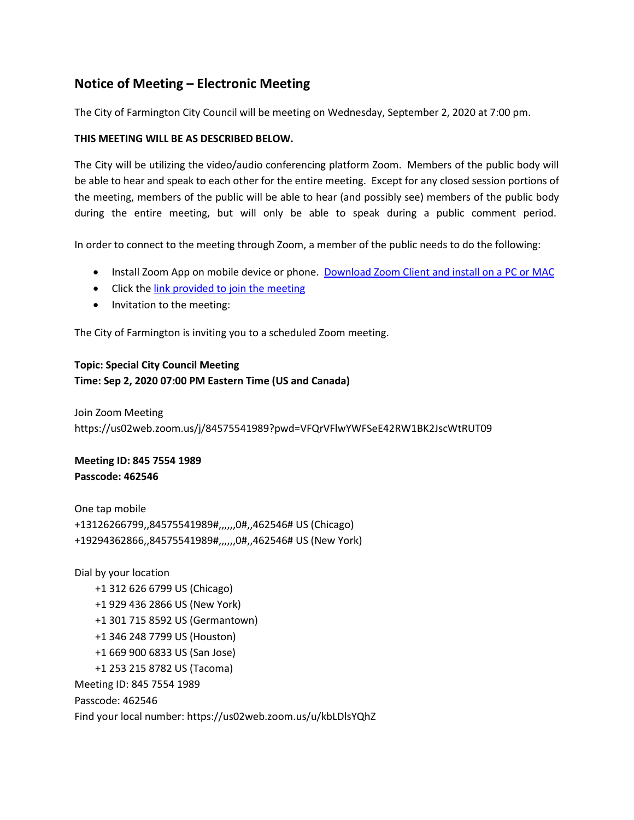# **Notice of Meeting – Electronic Meeting**

The City of Farmington City Council will be meeting on Wednesday, September 2, 2020 at 7:00 pm.

## **THIS MEETING WILL BE AS DESCRIBED BELOW.**

The City will be utilizing the video/audio conferencing platform Zoom. Members of the public body will be able to hear and speak to each other for the entire meeting. Except for any closed session portions of the meeting, members of the public will be able to hear (and possibly see) members of the public body during the entire meeting, but will only be able to speak during a public comment period.

In order to connect to the meeting through Zoom, a member of the public needs to do the following:

- Install Zoom App on mobile device or phone. [Download Zoom Client and install on a PC or MAC](https://zoom.us/download)
- Click th[e link provided to join the meeting](https://zoom.us/j/468937476)
- Invitation to the meeting:

The City of Farmington is inviting you to a scheduled Zoom meeting.

### **Topic: Special City Council Meeting**

### **Time: Sep 2, 2020 07:00 PM Eastern Time (US and Canada)**

Join Zoom Meeting https://us02web.zoom.us/j/84575541989?pwd=VFQrVFlwYWFSeE42RW1BK2JscWtRUT09

**Meeting ID: 845 7554 1989 Passcode: 462546**

One tap mobile +13126266799,,84575541989#,,,,,,0#,,462546# US (Chicago) +19294362866,,84575541989#,,,,,,0#,,462546# US (New York)

Dial by your location +1 312 626 6799 US (Chicago) +1 929 436 2866 US (New York) +1 301 715 8592 US (Germantown) +1 346 248 7799 US (Houston) +1 669 900 6833 US (San Jose) +1 253 215 8782 US (Tacoma) Meeting ID: 845 7554 1989 Passcode: 462546 Find your local number: https://us02web.zoom.us/u/kbLDlsYQhZ